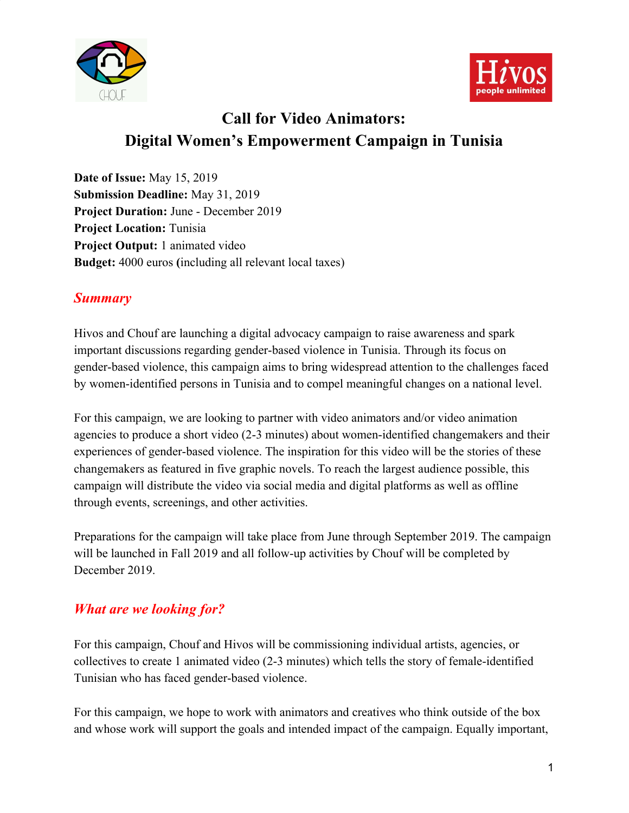



# **Call for Video Animators: Digital Women's Empowerment Campaign in Tunisia**

**Date of Issue:** May 15, 2019 **Submission Deadline:** May 31, 2019 **Project Duration:** June - December 2019 **Project Location:** Tunisia **Project Output:** 1 animated video **Budget:** 4000 euros **(**including all relevant local taxes)

### *Summary*

Hivos and Chouf are launching a digital advocacy campaign to raise awareness and spark important discussions regarding gender-based violence in Tunisia. Through its focus on gender-based violence, this campaign aims to bring widespread attention to the challenges faced by women-identified persons in Tunisia and to compel meaningful changes on a national level.

For this campaign, we are looking to partner with video animators and/or video animation agencies to produce a short video (2-3 minutes) about women-identified changemakers and their experiences of gender-based violence. The inspiration for this video will be the stories of these changemakers as featured in five graphic novels. To reach the largest audience possible, this campaign will distribute the video via social media and digital platforms as well as offline through events, screenings, and other activities.

Preparations for the campaign will take place from June through September 2019. The campaign will be launched in Fall 2019 and all follow-up activities by Chouf will be completed by December 2019.

### *What are we looking for?*

For this campaign, Chouf and Hivos will be commissioning individual artists, agencies, or collectives to create 1 animated video (2-3 minutes) which tells the story of female-identified Tunisian who has faced gender-based violence.

For this campaign, we hope to work with animators and creatives who think outside of the box and whose work will support the goals and intended impact of the campaign. Equally important,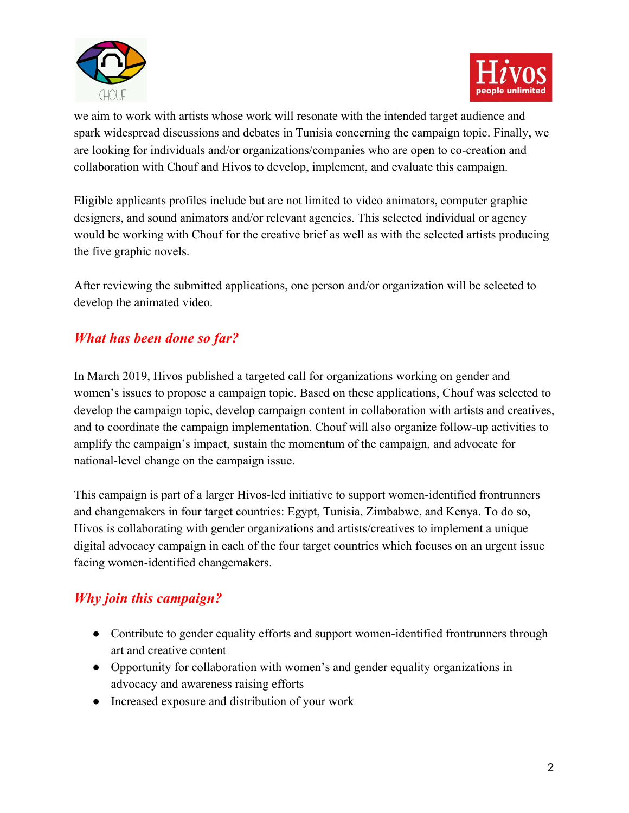



we aim to work with artists whose work will resonate with the intended target audience and spark widespread discussions and debates in Tunisia concerning the campaign topic. Finally, we are looking for individuals and/or organizations/companies who are open to co-creation and collaboration with Chouf and Hivos to develop, implement, and evaluate this campaign.

Eligible applicants profiles include but are not limited to video animators, computer graphic designers, and sound animators and/or relevant agencies. This selected individual or agency would be working with Chouf for the creative brief as well as with the selected artists producing the five graphic novels.

After reviewing the submitted applications, one person and/or organization will be selected to develop the animated video.

## *What has been done so far?*

In March 2019, Hivos published a targeted call for organizations working on gender and women's issues to propose a campaign topic. Based on these applications, Chouf was selected to develop the campaign topic, develop campaign content in collaboration with artists and creatives, and to coordinate the campaign implementation. Chouf will also organize follow-up activities to amplify the campaign's impact, sustain the momentum of the campaign, and advocate for national-level change on the campaign issue.

This campaign is part of a larger Hivos-led initiative to support women-identified frontrunners and changemakers in four target countries: Egypt, Tunisia, Zimbabwe, and Kenya. To do so, Hivos is collaborating with gender organizations and artists/creatives to implement a unique digital advocacy campaign in each of the four target countries which focuses on an urgent issue facing women-identified changemakers.

## *Why join this campaign?*

- Contribute to gender equality efforts and support women-identified frontrunners through art and creative content
- Opportunity for collaboration with women's and gender equality organizations in advocacy and awareness raising efforts
- Increased exposure and distribution of your work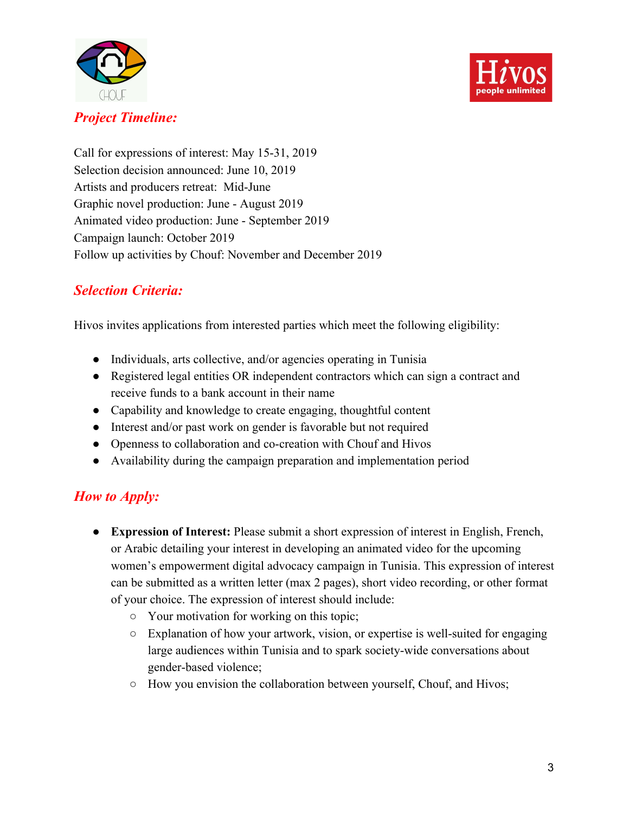



### *Project Timeline:*

Call for expressions of interest: May 15-31, 2019 Selection decision announced: June 10, 2019 Artists and producers retreat: Mid-June Graphic novel production: June - August 2019 Animated video production: June - September 2019 Campaign launch: October 2019 Follow up activities by Chouf: November and December 2019

## *Selection Criteria:*

Hivos invites applications from interested parties which meet the following eligibility:

- Individuals, arts collective, and/or agencies operating in Tunisia
- Registered legal entities OR independent contractors which can sign a contract and receive funds to a bank account in their name
- Capability and knowledge to create engaging, thoughtful content
- Interest and/or past work on gender is favorable but not required
- Openness to collaboration and co-creation with Chouf and Hivos
- Availability during the campaign preparation and implementation period

## *How to Apply:*

- **● Expression of Interest:** Please submit a short expression of interest in English, French, or Arabic detailing your interest in developing an animated video for the upcoming women's empowerment digital advocacy campaign in Tunisia. This expression of interest can be submitted as a written letter (max 2 pages), short video recording, or other format of your choice. The expression of interest should include:
	- **○** Your motivation for working on this topic;
	- **○** Explanation of how your artwork, vision, or expertise is well-suited for engaging large audiences within Tunisia and to spark society-wide conversations about gender-based violence;
	- **○** How you envision the collaboration between yourself, Chouf, and Hivos;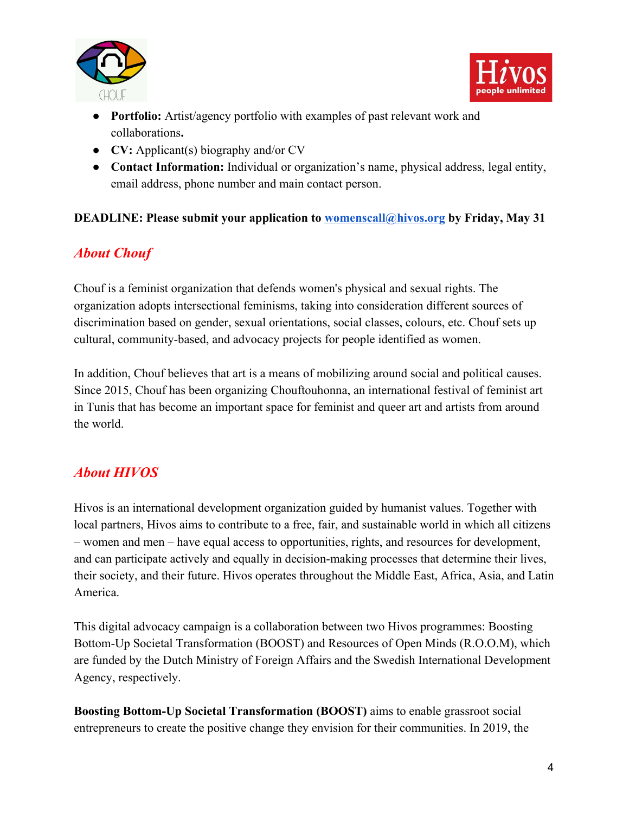



- **● Portfolio:** Artist/agency portfolio with examples of past relevant work and collaborations**.**
- **● CV:** Applicant(s) biography and/or CV
- **Contact Information:** Individual or organization's name, physical address, legal entity, email address, phone number and main contact person.

#### **DEADLINE: Please submit your application to [womenscall@hivos.org](mailto:womenscall@hivos.org) by Friday, May 31**

## *About Chouf*

Chouf is a feminist organization that defends women's physical and sexual rights. The organization adopts intersectional feminisms, taking into consideration different sources of discrimination based on gender, sexual orientations, social classes, colours, etc. Chouf sets up cultural, community-based, and advocacy projects for people identified as women.

In addition, Chouf believes that art is a means of mobilizing around social and political causes. Since 2015, Chouf has been organizing Chouftouhonna, an international festival of feminist art in Tunis that has become an important space for feminist and queer art and artists from around the world.

## *About HIVOS*

Hivos is an international development organization guided by humanist values. Together with local partners, Hivos aims to contribute to a free, fair, and sustainable world in which all citizens – women and men – have equal access to opportunities, rights, and resources for development, and can participate actively and equally in decision-making processes that determine their lives, their society, and their future. Hivos operates throughout the Middle East, Africa, Asia, and Latin America.

This digital advocacy campaign is a collaboration between two Hivos programmes: Boosting Bottom-Up Societal Transformation (BOOST) and Resources of Open Minds (R.O.O.M), which are funded by the Dutch Ministry of Foreign Affairs and the Swedish International Development Agency, respectively.

**Boosting Bottom-Up Societal Transformation (BOOST)** aims to enable grassroot social entrepreneurs to create the positive change they envision for their communities. In 2019, the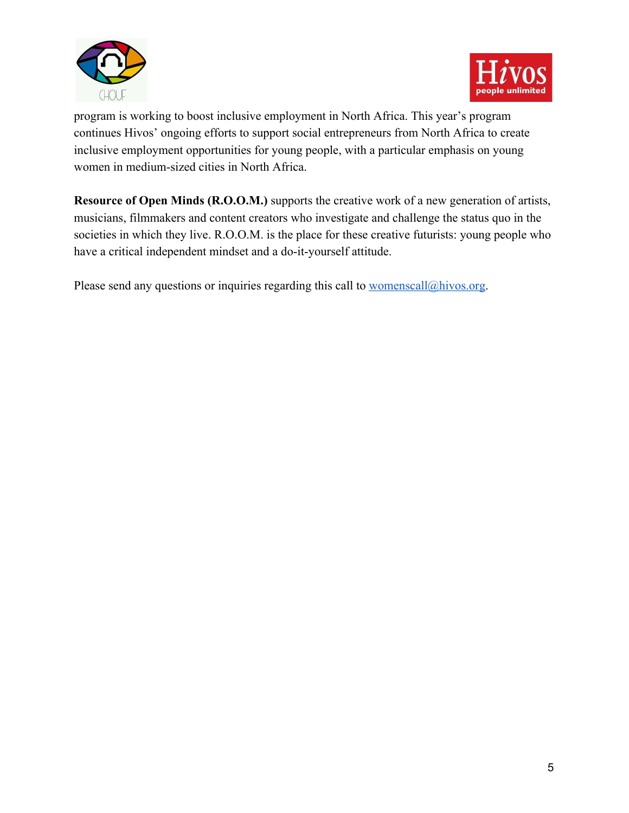



program is working to boost inclusive employment in North Africa. This year's program continues Hivos' ongoing efforts to support social entrepreneurs from North Africa to create inclusive employment opportunities for young people, with a particular emphasis on young women in medium-sized cities in North Africa.

**Resource of Open Minds (R.O.O.M.)** supports the creative work of a new generation of artists, musicians, filmmakers and content creators who investigate and challenge the status quo in the societies in which they live. R.O.O.M. is the place for these creative futurists: young people who have a critical independent mindset and a do-it-yourself attitude.

Please send any questions or inquiries regarding this call to [womenscall@hivos.org](mailto:womenscall@hivos.org).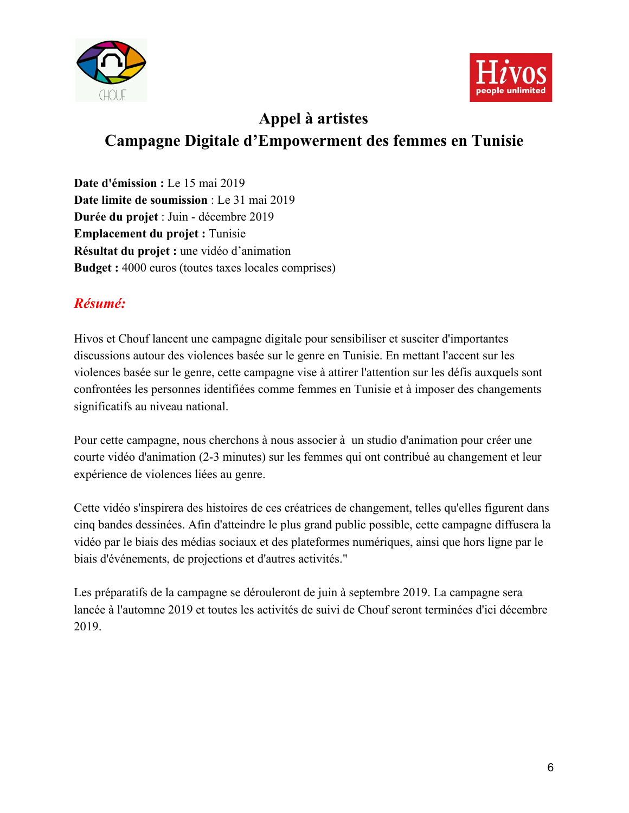



# **Appel à artistes Campagne Digitale d'Empowerment des femmes en Tunisie**

**Date d'émission :** Le 15 mai 2019 **Date limite de soumission** : Le 31 mai 2019 **Durée du projet** : Juin - décembre 2019 **Emplacement du projet :** Tunisie **Résultat du projet :** une vidéo d'animation **Budget :** 4000 euros (toutes taxes locales comprises)

## *Résumé:*

Hivos et Chouf lancent une campagne digitale pour sensibiliser et susciter d'importantes discussions autour des violences basée sur le genre en Tunisie. En mettant l'accent sur les violences basée sur le genre, cette campagne vise à attirer l'attention sur les défis auxquels sont confrontées les personnes identifiées comme femmes en Tunisie et à imposer des changements significatifs au niveau national.

Pour cette campagne, nous cherchons à nous associer à un studio d'animation pour créer une courte vidéo d'animation (2-3 minutes) sur les femmes qui ont contribué au changement et leur expérience de violences liées au genre.

Cette vidéo s'inspirera des histoires de ces créatrices de changement, telles qu'elles figurent dans cinq bandes dessinées. Afin d'atteindre le plus grand public possible, cette campagne diffusera la vidéo par le biais des médias sociaux et des plateformes numériques, ainsi que hors ligne par le biais d'événements, de projections et d'autres activités."

Les préparatifs de la campagne se dérouleront de juin à septembre 2019. La campagne sera lancée à l'automne 2019 et toutes les activités de suivi de Chouf seront terminées d'ici décembre 2019.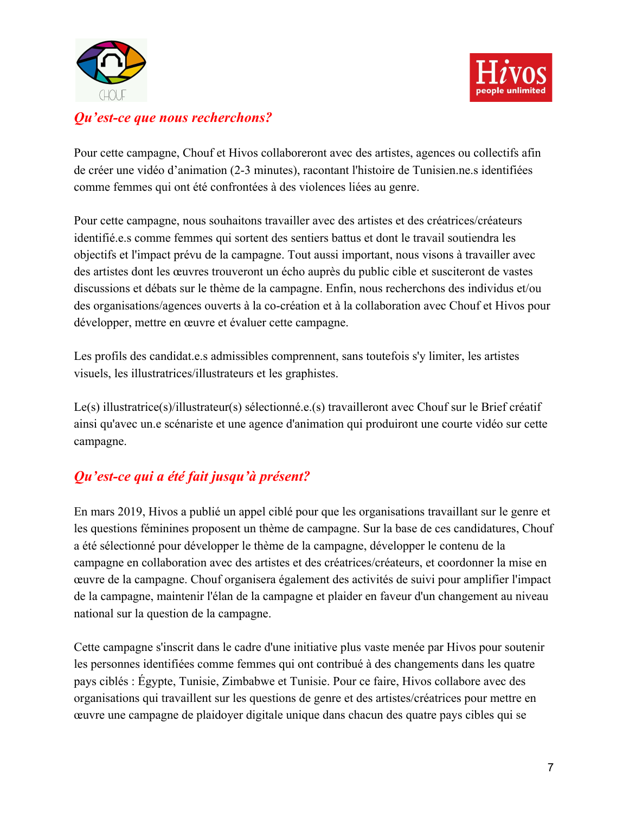



### *Qu'est-ce que nous recherchons?*

Pour cette campagne, Chouf et Hivos collaboreront avec des artistes, agences ou collectifs afin de créer une vidéo d'animation (2-3 minutes), racontant l'histoire de Tunisien.ne.s identifiées comme femmes qui ont été confrontées à des violences liées au genre.

Pour cette campagne, nous souhaitons travailler avec des artistes et des créatrices/créateurs identifié.e.s comme femmes qui sortent des sentiers battus et dont le travail soutiendra les objectifs et l'impact prévu de la campagne. Tout aussi important, nous visons à travailler avec des artistes dont les œuvres trouveront un écho auprès du public cible et susciteront de vastes discussions et débats sur le thème de la campagne. Enfin, nous recherchons des individus et/ou des organisations/agences ouverts à la co-création et à la collaboration avec Chouf et Hivos pour développer, mettre en œuvre et évaluer cette campagne.

Les profils des candidat.e.s admissibles comprennent, sans toutefois s'y limiter, les artistes visuels, les illustratrices/illustrateurs et les graphistes.

Le(s) illustratrice(s)/illustrateur(s) sélectionné.e.(s) travailleront avec Chouf sur le Brief créatif ainsi qu'avec un.e scénariste et une agence d'animation qui produiront une courte vidéo sur cette campagne.

## *Qu'est-ce qui a été fait jusqu'à présent?*

En mars 2019, Hivos a publié un appel ciblé pour que les organisations travaillant sur le genre et les questions féminines proposent un thème de campagne. Sur la base de ces candidatures, Chouf a été sélectionné pour développer le thème de la campagne, développer le contenu de la campagne en collaboration avec des artistes et des créatrices/créateurs, et coordonner la mise en œuvre de la campagne. Chouf organisera également des activités de suivi pour amplifier l'impact de la campagne, maintenir l'élan de la campagne et plaider en faveur d'un changement au niveau national sur la question de la campagne.

Cette campagne s'inscrit dans le cadre d'une initiative plus vaste menée par Hivos pour soutenir les personnes identifiées comme femmes qui ont contribué à des changements dans les quatre pays ciblés : Égypte, Tunisie, Zimbabwe et Tunisie. Pour ce faire, Hivos collabore avec des organisations qui travaillent sur les questions de genre et des artistes/créatrices pour mettre en œuvre une campagne de plaidoyer digitale unique dans chacun des quatre pays cibles qui se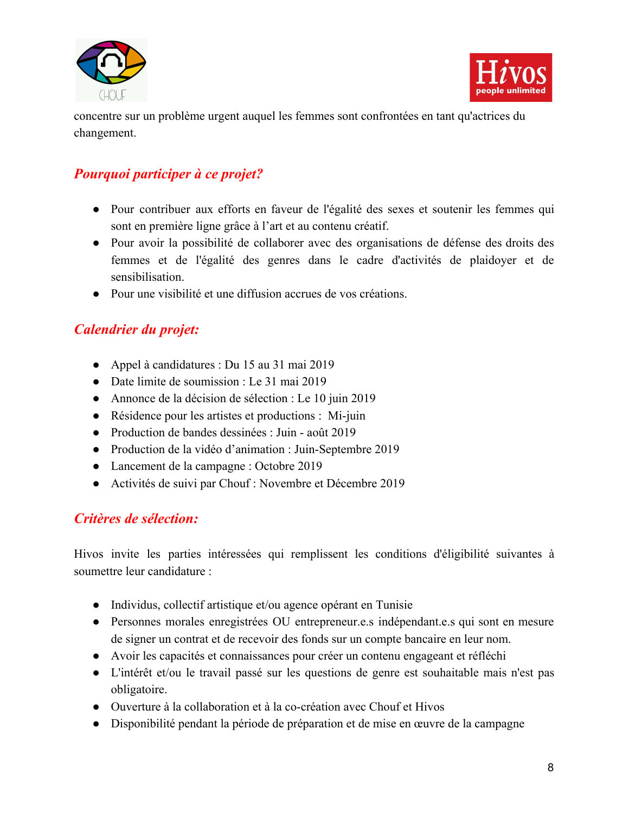



concentre sur un problème urgent auquel les femmes sont confrontées en tant qu'actrices du changement.

## *Pourquoi participer à ce projet?*

- Pour contribuer aux efforts en faveur de l'égalité des sexes et soutenir les femmes qui sont en première ligne grâce à l'art et au contenu créatif.
- Pour avoir la possibilité de collaborer avec des organisations de défense des droits des femmes et de l'égalité des genres dans le cadre d'activités de plaidoyer et de sensibilisation.
- Pour une visibilité et une diffusion accrues de vos créations.

### *Calendrier du projet:*

- Appel à candidatures : Du 15 au 31 mai 2019
- Date limite de soumission : Le 31 mai 2019
- Annonce de la décision de sélection : Le 10 juin 2019
- Résidence pour les artistes et productions : Mi-juin
- Production de bandes dessinées : Juin août 2019
- Production de la vidéo d'animation : Juin-Septembre 2019
- Lancement de la campagne : Octobre 2019
- Activités de suivi par Chouf : Novembre et Décembre 2019

### *Critères de sélection:*

Hivos invite les parties intéressées qui remplissent les conditions d'éligibilité suivantes à soumettre leur candidature :

- Individus, collectif artistique et/ou agence opérant en Tunisie
- Personnes morales enregistrées OU entrepreneur.e.s indépendant.e.s qui sont en mesure de signer un contrat et de recevoir des fonds sur un compte bancaire en leur nom.
- Avoir les capacités et connaissances pour créer un contenu engageant et réfléchi
- L'intérêt et/ou le travail passé sur les questions de genre est souhaitable mais n'est pas obligatoire.
- Ouverture à la collaboration et à la co-création avec Chouf et Hivos
- Disponibilité pendant la période de préparation et de mise en œuvre de la campagne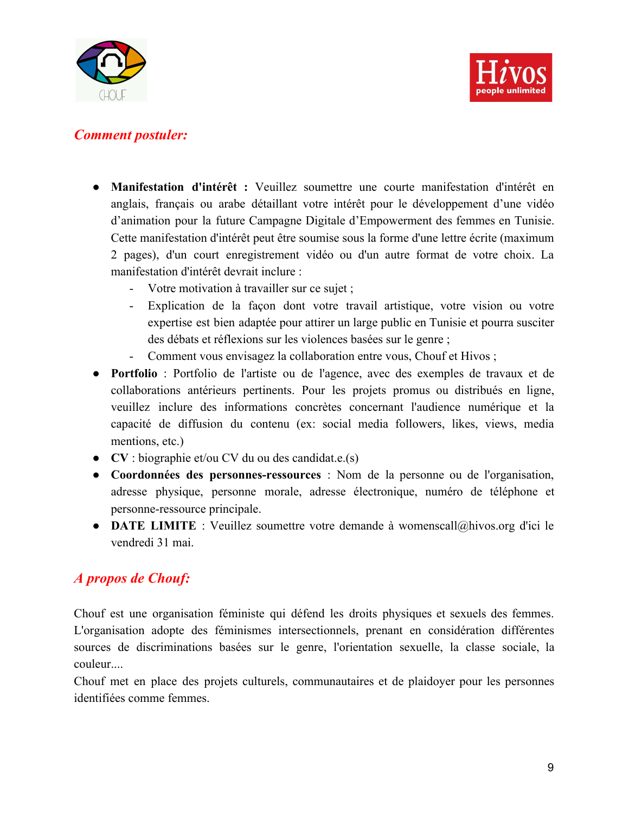



#### *Comment postuler:*

- **Manifestation d'intérêt :** Veuillez soumettre une courte manifestation d'intérêt en anglais, français ou arabe détaillant votre intérêt pour le développement d'une vidéo d'animation pour la future Campagne Digitale d'Empowerment des femmes en Tunisie. Cette manifestation d'intérêt peut être soumise sous la forme d'une lettre écrite (maximum 2 pages), d'un court enregistrement vidéo ou d'un autre format de votre choix. La manifestation d'intérêt devrait inclure :
	- Votre motivation à travailler sur ce sujet ;
	- Explication de la façon dont votre travail artistique, votre vision ou votre expertise est bien adaptée pour attirer un large public en Tunisie et pourra susciter des débats et réflexions sur les violences basées sur le genre ;
	- Comment vous envisagez la collaboration entre vous, Chouf et Hivos ;
- **Portfolio** : Portfolio de l'artiste ou de l'agence, avec des exemples de travaux et de collaborations antérieurs pertinents. Pour les projets promus ou distribués en ligne, veuillez inclure des informations concrètes concernant l'audience numérique et la capacité de diffusion du contenu (ex: social media followers, likes, views, media mentions, etc.)
- **CV** : biographie et/ou CV du ou des candidat.e.(s)
- **Coordonnées des personnes-ressources** : Nom de la personne ou de l'organisation, adresse physique, personne morale, adresse électronique, numéro de téléphone et personne-ressource principale.
- **DATE LIMITE** : Veuillez soumettre votre demande à womenscall@hivos.org d'ici le vendredi 31 mai.

## *A propos de Chouf:*

Chouf est une organisation féministe qui défend les droits physiques et sexuels des femmes. L'organisation adopte des féminismes intersectionnels, prenant en considération différentes sources de discriminations basées sur le genre, l'orientation sexuelle, la classe sociale, la couleur....

Chouf met en place des projets culturels, communautaires et de plaidoyer pour les personnes identifiées comme femmes.